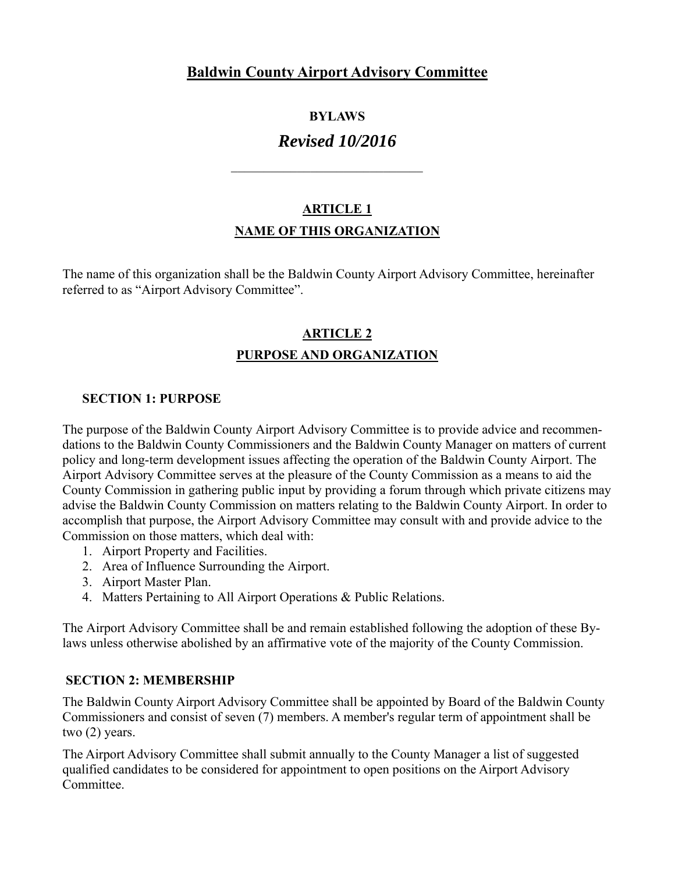# **Baldwin County Airport Advisory Committee**

## **BYLAWS**

# *Revised 10/2016*

# **ARTICLE 1 NAME OF THIS ORGANIZATION**

The name of this organization shall be the Baldwin County Airport Advisory Committee, hereinafter referred to as "Airport Advisory Committee".

# **ARTICLE 2 PURPOSE AND ORGANIZATION**

## **SECTION 1: PURPOSE**

The purpose of the Baldwin County Airport Advisory Committee is to provide advice and recommendations to the Baldwin County Commissioners and the Baldwin County Manager on matters of current policy and long-term development issues affecting the operation of the Baldwin County Airport. The Airport Advisory Committee serves at the pleasure of the County Commission as a means to aid the County Commission in gathering public input by providing a forum through which private citizens may advise the Baldwin County Commission on matters relating to the Baldwin County Airport. In order to accomplish that purpose, the Airport Advisory Committee may consult with and provide advice to the Commission on those matters, which deal with:

- 1. Airport Property and Facilities.
- 2. Area of Influence Surrounding the Airport.
- 3. Airport Master Plan.
- 4. Matters Pertaining to All Airport Operations & Public Relations.

The Airport Advisory Committee shall be and remain established following the adoption of these Bylaws unless otherwise abolished by an affirmative vote of the majority of the County Commission.

## **SECTION 2: MEMBERSHIP**

The Baldwin County Airport Advisory Committee shall be appointed by Board of the Baldwin County Commissioners and consist of seven (7) members. A member's regular term of appointment shall be two (2) years.

The Airport Advisory Committee shall submit annually to the County Manager a list of suggested qualified candidates to be considered for appointment to open positions on the Airport Advisory Committee.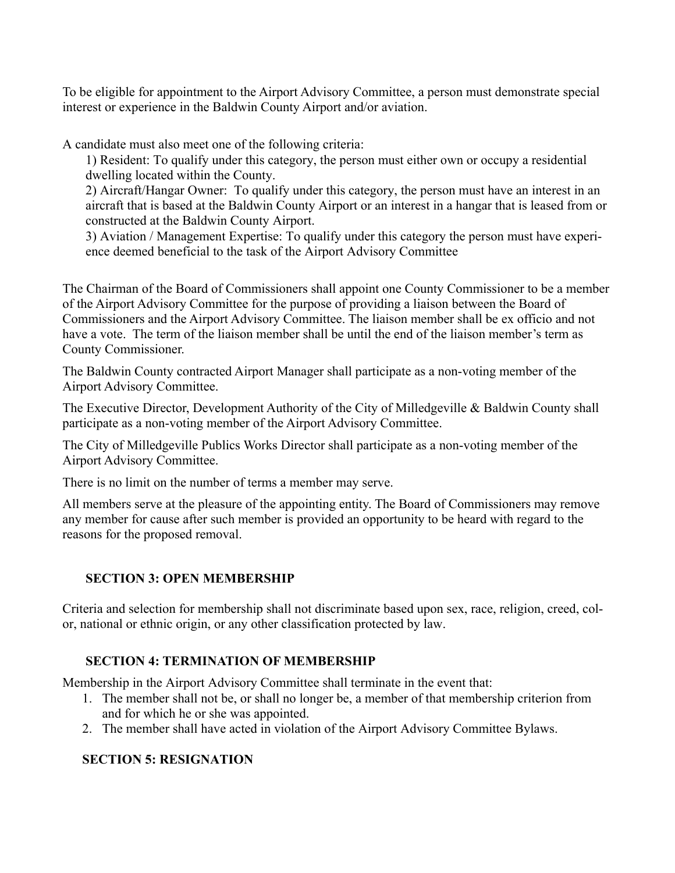To be eligible for appointment to the Airport Advisory Committee, a person must demonstrate special interest or experience in the Baldwin County Airport and/or aviation.

A candidate must also meet one of the following criteria:

1) Resident: To qualify under this category, the person must either own or occupy a residential dwelling located within the County.

2) Aircraft/Hangar Owner: To qualify under this category, the person must have an interest in an aircraft that is based at the Baldwin County Airport or an interest in a hangar that is leased from or constructed at the Baldwin County Airport.

3) Aviation / Management Expertise: To qualify under this category the person must have experience deemed beneficial to the task of the Airport Advisory Committee

The Chairman of the Board of Commissioners shall appoint one County Commissioner to be a member of the Airport Advisory Committee for the purpose of providing a liaison between the Board of Commissioners and the Airport Advisory Committee. The liaison member shall be ex officio and not have a vote. The term of the liaison member shall be until the end of the liaison member's term as County Commissioner.

The Baldwin County contracted Airport Manager shall participate as a non-voting member of the Airport Advisory Committee.

The Executive Director, Development Authority of the City of Milledgeville & Baldwin County shall participate as a non-voting member of the Airport Advisory Committee.

The City of Milledgeville Publics Works Director shall participate as a non-voting member of the Airport Advisory Committee.

There is no limit on the number of terms a member may serve.

All members serve at the pleasure of the appointing entity. The Board of Commissioners may remove any member for cause after such member is provided an opportunity to be heard with regard to the reasons for the proposed removal.

## **SECTION 3: OPEN MEMBERSHIP**

Criteria and selection for membership shall not discriminate based upon sex, race, religion, creed, color, national or ethnic origin, or any other classification protected by law.

## **SECTION 4: TERMINATION OF MEMBERSHIP**

Membership in the Airport Advisory Committee shall terminate in the event that:

- 1. The member shall not be, or shall no longer be, a member of that membership criterion from and for which he or she was appointed.
- 2. The member shall have acted in violation of the Airport Advisory Committee Bylaws.

## **SECTION 5: RESIGNATION**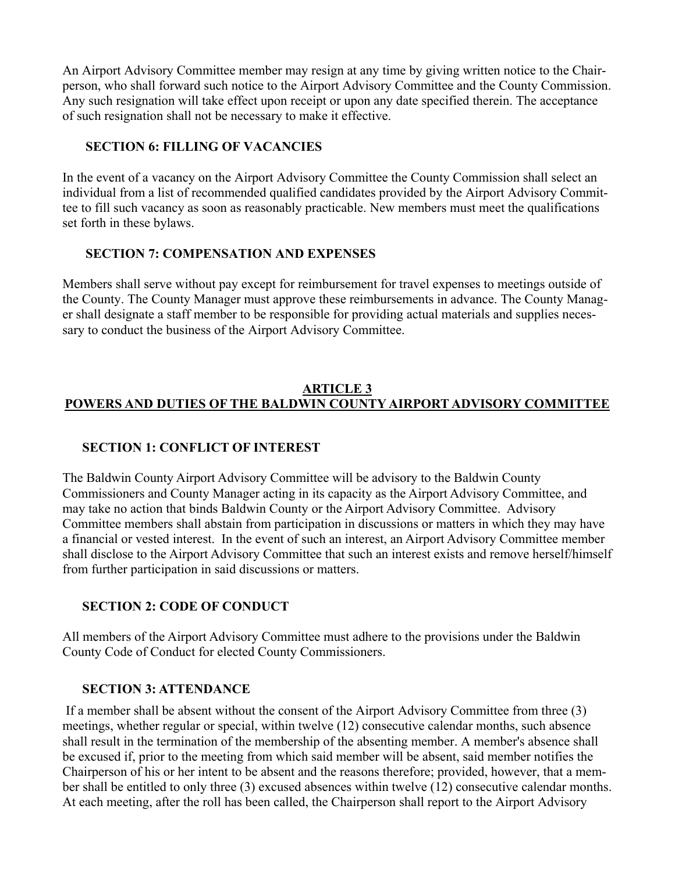An Airport Advisory Committee member may resign at any time by giving written notice to the Chairperson, who shall forward such notice to the Airport Advisory Committee and the County Commission. Any such resignation will take effect upon receipt or upon any date specified therein. The acceptance of such resignation shall not be necessary to make it effective.

#### **SECTION 6: FILLING OF VACANCIES**

In the event of a vacancy on the Airport Advisory Committee the County Commission shall select an individual from a list of recommended qualified candidates provided by the Airport Advisory Committee to fill such vacancy as soon as reasonably practicable. New members must meet the qualifications set forth in these bylaws.

#### **SECTION 7: COMPENSATION AND EXPENSES**

Members shall serve without pay except for reimbursement for travel expenses to meetings outside of the County. The County Manager must approve these reimbursements in advance. The County Manager shall designate a staff member to be responsible for providing actual materials and supplies necessary to conduct the business of the Airport Advisory Committee.

## **ARTICLE 3 POWERS AND DUTIES OF THE BALDWIN COUNTY AIRPORT ADVISORY COMMITTEE**

## **SECTION 1: CONFLICT OF INTEREST**

The Baldwin County Airport Advisory Committee will be advisory to the Baldwin County Commissioners and County Manager acting in its capacity as the Airport Advisory Committee, and may take no action that binds Baldwin County or the Airport Advisory Committee. Advisory Committee members shall abstain from participation in discussions or matters in which they may have a financial or vested interest. In the event of such an interest, an Airport Advisory Committee member shall disclose to the Airport Advisory Committee that such an interest exists and remove herself/himself from further participation in said discussions or matters.

## **SECTION 2: CODE OF CONDUCT**

All members of the Airport Advisory Committee must adhere to the provisions under the Baldwin County Code of Conduct for elected County Commissioners.

#### **SECTION 3: ATTENDANCE**

 If a member shall be absent without the consent of the Airport Advisory Committee from three (3) meetings, whether regular or special, within twelve (12) consecutive calendar months, such absence shall result in the termination of the membership of the absenting member. A member's absence shall be excused if, prior to the meeting from which said member will be absent, said member notifies the Chairperson of his or her intent to be absent and the reasons therefore; provided, however, that a member shall be entitled to only three (3) excused absences within twelve (12) consecutive calendar months. At each meeting, after the roll has been called, the Chairperson shall report to the Airport Advisory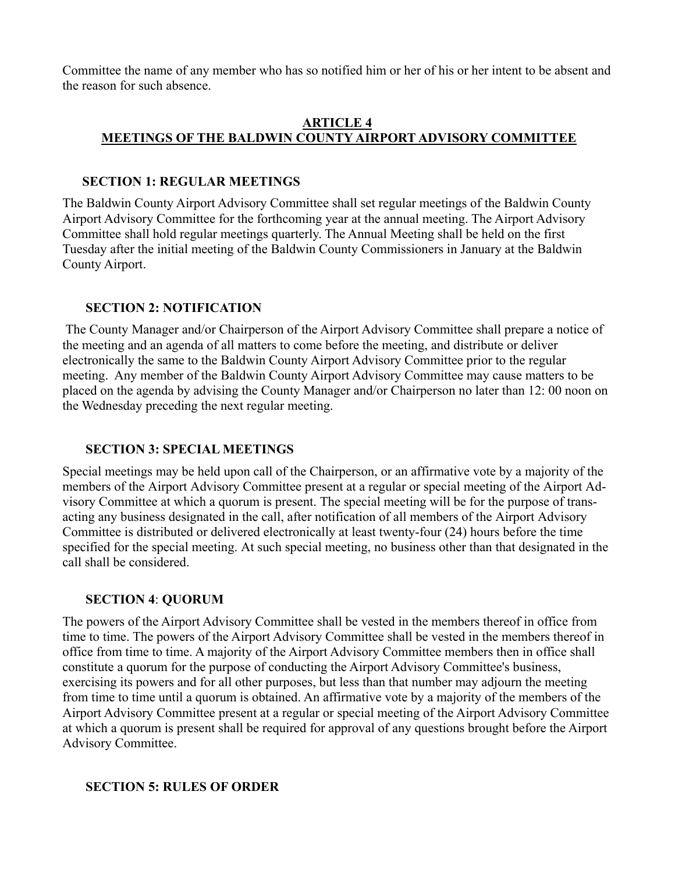Committee the name of any member who has so notified him or her of his or her intent to be absent and the reason for such absence.

#### **ARTICLE 4 MEETINGS OF THE BALDWIN COUNTY AIRPORT ADVISORY COMMITTEE**

## **SECTION 1: REGULAR MEETINGS**

The Baldwin County Airport Advisory Committee shall set regular meetings of the Baldwin County Airport Advisory Committee for the forthcoming year at the annual meeting. The Airport Advisory Committee shall hold regular meetings quarterly. The Annual Meeting shall be held on the first Tuesday after the initial meeting of the Baldwin County Commissioners in January at the Baldwin County Airport.

## **SECTION 2: NOTIFICATION**

 The County Manager and/or Chairperson of the Airport Advisory Committee shall prepare a notice of the meeting and an agenda of all matters to come before the meeting, and distribute or deliver electronically the same to the Baldwin County Airport Advisory Committee prior to the regular meeting. Any member of the Baldwin County Airport Advisory Committee may cause matters to be placed on the agenda by advising the County Manager and/or Chairperson no later than 12: 00 noon on the Wednesday preceding the next regular meeting.

# **SECTION 3: SPECIAL MEETINGS**

Special meetings may be held upon call of the Chairperson, or an affirmative vote by a majority of the members of the Airport Advisory Committee present at a regular or special meeting of the Airport Advisory Committee at which a quorum is present. The special meeting will be for the purpose of transacting any business designated in the call, after notification of all members of the Airport Advisory Committee is distributed or delivered electronically at least twenty-four (24) hours before the time specified for the special meeting. At such special meeting, no business other than that designated in the call shall be considered.

# **SECTION 4**: **QUORUM**

The powers of the Airport Advisory Committee shall be vested in the members thereof in office from time to time. The powers of the Airport Advisory Committee shall be vested in the members thereof in office from time to time. A majority of the Airport Advisory Committee members then in office shall constitute a quorum for the purpose of conducting the Airport Advisory Committee's business, exercising its powers and for all other purposes, but less than that number may adjourn the meeting from time to time until a quorum is obtained. An affirmative vote by a majority of the members of the Airport Advisory Committee present at a regular or special meeting of the Airport Advisory Committee at which a quorum is present shall be required for approval of any questions brought before the Airport Advisory Committee.

## **SECTION 5: RULES OF ORDER**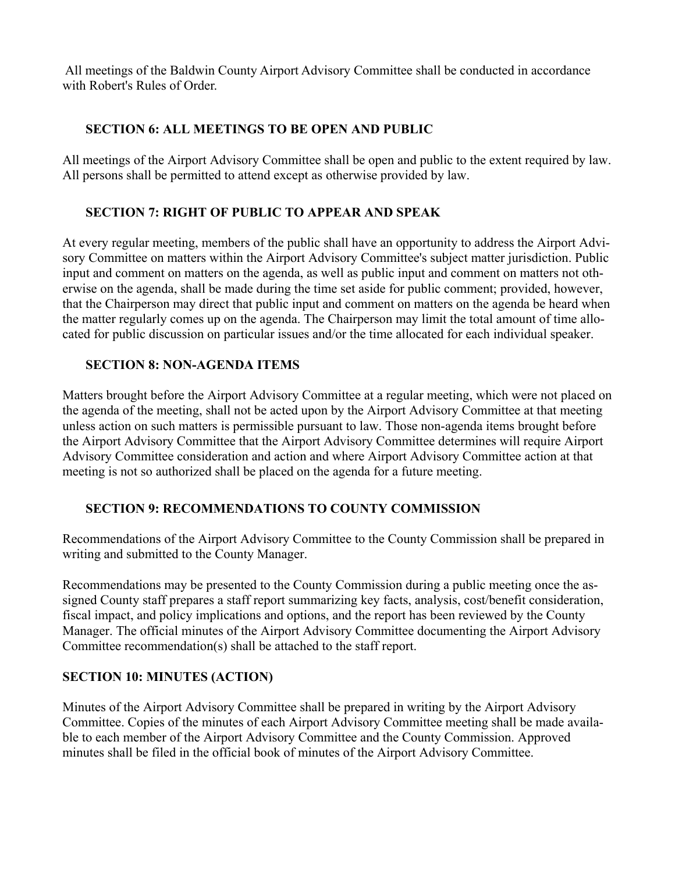All meetings of the Baldwin County Airport Advisory Committee shall be conducted in accordance with Robert's Rules of Order.

## **SECTION 6: ALL MEETINGS TO BE OPEN AND PUBLIC**

All meetings of the Airport Advisory Committee shall be open and public to the extent required by law. All persons shall be permitted to attend except as otherwise provided by law.

# **SECTION 7: RIGHT OF PUBLIC TO APPEAR AND SPEAK**

At every regular meeting, members of the public shall have an opportunity to address the Airport Advisory Committee on matters within the Airport Advisory Committee's subject matter jurisdiction. Public input and comment on matters on the agenda, as well as public input and comment on matters not otherwise on the agenda, shall be made during the time set aside for public comment; provided, however, that the Chairperson may direct that public input and comment on matters on the agenda be heard when the matter regularly comes up on the agenda. The Chairperson may limit the total amount of time allocated for public discussion on particular issues and/or the time allocated for each individual speaker.

## **SECTION 8: NON-AGENDA ITEMS**

Matters brought before the Airport Advisory Committee at a regular meeting, which were not placed on the agenda of the meeting, shall not be acted upon by the Airport Advisory Committee at that meeting unless action on such matters is permissible pursuant to law. Those non-agenda items brought before the Airport Advisory Committee that the Airport Advisory Committee determines will require Airport Advisory Committee consideration and action and where Airport Advisory Committee action at that meeting is not so authorized shall be placed on the agenda for a future meeting.

# **SECTION 9: RECOMMENDATIONS TO COUNTY COMMISSION**

Recommendations of the Airport Advisory Committee to the County Commission shall be prepared in writing and submitted to the County Manager.

Recommendations may be presented to the County Commission during a public meeting once the assigned County staff prepares a staff report summarizing key facts, analysis, cost/benefit consideration, fiscal impact, and policy implications and options, and the report has been reviewed by the County Manager. The official minutes of the Airport Advisory Committee documenting the Airport Advisory Committee recommendation(s) shall be attached to the staff report.

# **SECTION 10: MINUTES (ACTION)**

Minutes of the Airport Advisory Committee shall be prepared in writing by the Airport Advisory Committee. Copies of the minutes of each Airport Advisory Committee meeting shall be made available to each member of the Airport Advisory Committee and the County Commission. Approved minutes shall be filed in the official book of minutes of the Airport Advisory Committee.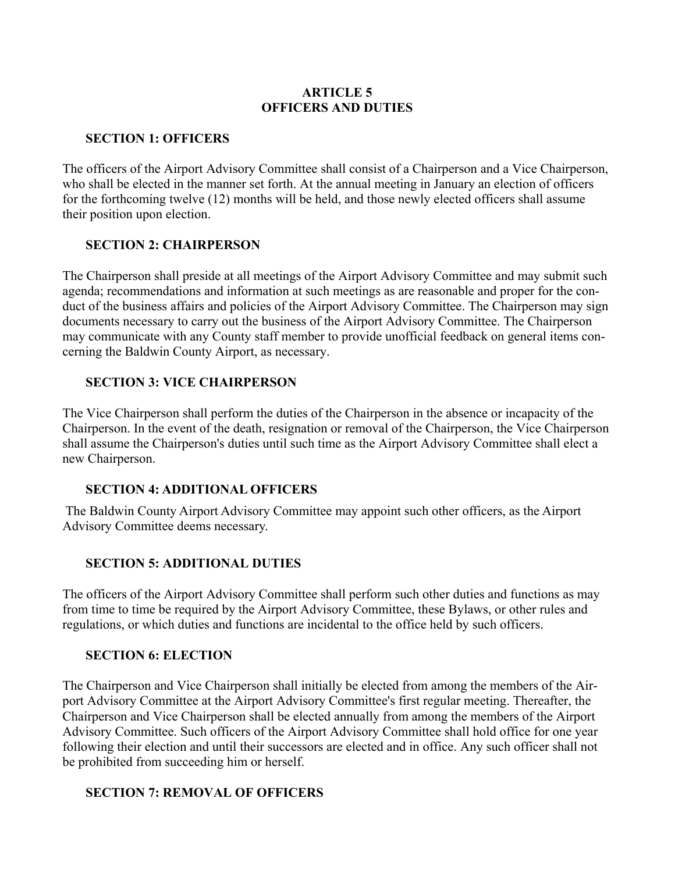#### **ARTICLE 5 OFFICERS AND DUTIES**

#### **SECTION 1: OFFICERS**

The officers of the Airport Advisory Committee shall consist of a Chairperson and a Vice Chairperson, who shall be elected in the manner set forth. At the annual meeting in January an election of officers for the forthcoming twelve (12) months will be held, and those newly elected officers shall assume their position upon election.

#### **SECTION 2: CHAIRPERSON**

The Chairperson shall preside at all meetings of the Airport Advisory Committee and may submit such agenda; recommendations and information at such meetings as are reasonable and proper for the conduct of the business affairs and policies of the Airport Advisory Committee. The Chairperson may sign documents necessary to carry out the business of the Airport Advisory Committee. The Chairperson may communicate with any County staff member to provide unofficial feedback on general items concerning the Baldwin County Airport, as necessary.

#### **SECTION 3: VICE CHAIRPERSON**

The Vice Chairperson shall perform the duties of the Chairperson in the absence or incapacity of the Chairperson. In the event of the death, resignation or removal of the Chairperson, the Vice Chairperson shall assume the Chairperson's duties until such time as the Airport Advisory Committee shall elect a new Chairperson.

## **SECTION 4: ADDITIONAL OFFICERS**

 The Baldwin County Airport Advisory Committee may appoint such other officers, as the Airport Advisory Committee deems necessary.

## **SECTION 5: ADDITIONAL DUTIES**

The officers of the Airport Advisory Committee shall perform such other duties and functions as may from time to time be required by the Airport Advisory Committee, these Bylaws, or other rules and regulations, or which duties and functions are incidental to the office held by such officers.

#### **SECTION 6: ELECTION**

The Chairperson and Vice Chairperson shall initially be elected from among the members of the Airport Advisory Committee at the Airport Advisory Committee's first regular meeting. Thereafter, the Chairperson and Vice Chairperson shall be elected annually from among the members of the Airport Advisory Committee. Such officers of the Airport Advisory Committee shall hold office for one year following their election and until their successors are elected and in office. Any such officer shall not be prohibited from succeeding him or herself.

#### **SECTION 7: REMOVAL OF OFFICERS**